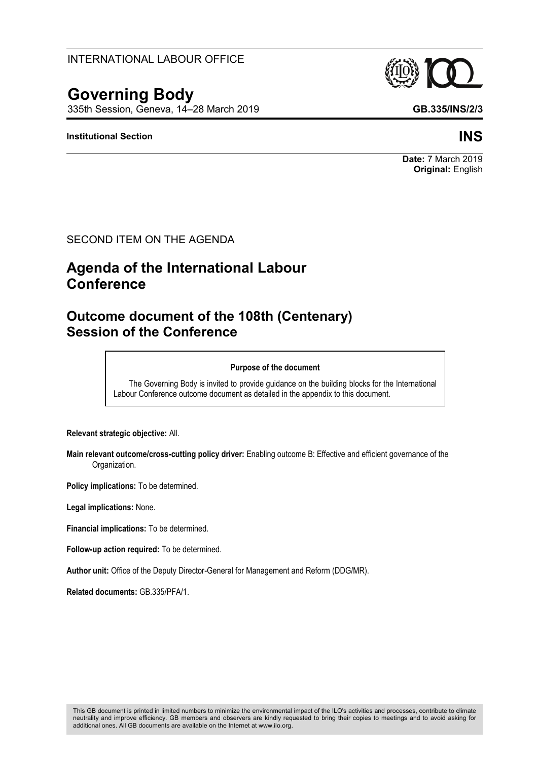### INTERNATIONAL LABOUR OFFICE

# **Governing Body**

335th Session, Geneva, 14–28 March 2019 **GB.335/INS/2/3**

### **Institutional Section INS**

### SECOND ITEM ON THE AGENDA

## **Agenda of the International Labour Conference**

### **Outcome document of the 108th (Centenary) Session of the Conference**

#### **Purpose of the document**

The Governing Body is invited to provide guidance on the building blocks for the International Labour Conference outcome document as detailed in the appendix to this document.

**Relevant strategic objective:** All.

**Main relevant outcome/cross-cutting policy driver:** Enabling outcome B: Effective and efficient governance of the Organization.

**Policy implications:** To be determined.

**Legal implications:** None.

**Financial implications:** To be determined.

**Follow-up action required:** To be determined.

**Author unit:** Office of the Deputy Director-General for Management and Reform (DDG/MR).

**Related documents:** GB.335/PFA/1.



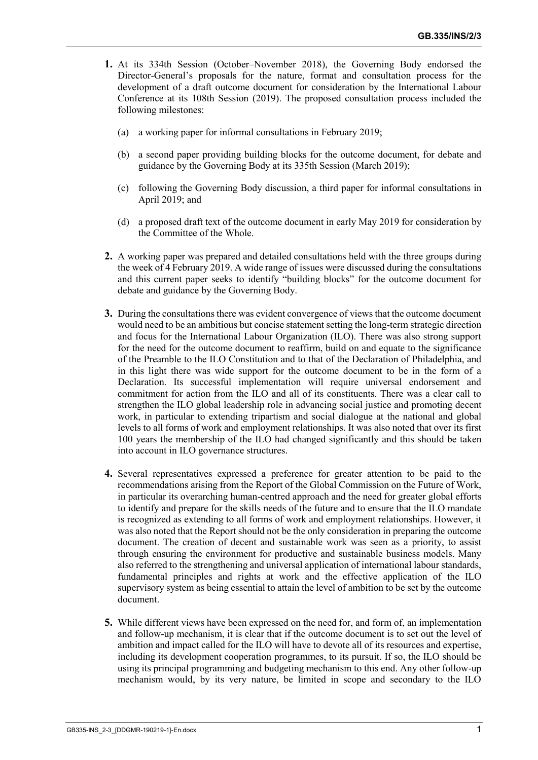- **1.** At its 334th Session (October–November 2018), the Governing Body endorsed the Director-General's proposals for the nature, format and consultation process for the development of a draft outcome document for consideration by the International Labour Conference at its 108th Session (2019). The proposed consultation process included the following milestones:
	- (a) a working paper for informal consultations in February 2019;
	- (b) a second paper providing building blocks for the outcome document, for debate and guidance by the Governing Body at its 335th Session (March 2019);
	- (c) following the Governing Body discussion, a third paper for informal consultations in April 2019; and
	- (d) a proposed draft text of the outcome document in early May 2019 for consideration by the Committee of the Whole.
- **2.** A working paper was prepared and detailed consultations held with the three groups during the week of 4 February 2019. A wide range of issues were discussed during the consultations and this current paper seeks to identify "building blocks" for the outcome document for debate and guidance by the Governing Body.
- **3.** During the consultations there was evident convergence of views that the outcome document would need to be an ambitious but concise statement setting the long-term strategic direction and focus for the International Labour Organization (ILO). There was also strong support for the need for the outcome document to reaffirm, build on and equate to the significance of the Preamble to the ILO Constitution and to that of the Declaration of Philadelphia, and in this light there was wide support for the outcome document to be in the form of a Declaration. Its successful implementation will require universal endorsement and commitment for action from the ILO and all of its constituents. There was a clear call to strengthen the ILO global leadership role in advancing social justice and promoting decent work, in particular to extending tripartism and social dialogue at the national and global levels to all forms of work and employment relationships. It was also noted that over its first 100 years the membership of the ILO had changed significantly and this should be taken into account in ILO governance structures.
- **4.** Several representatives expressed a preference for greater attention to be paid to the recommendations arising from the Report of the Global Commission on the Future of Work, in particular its overarching human-centred approach and the need for greater global efforts to identify and prepare for the skills needs of the future and to ensure that the ILO mandate is recognized as extending to all forms of work and employment relationships. However, it was also noted that the Report should not be the only consideration in preparing the outcome document. The creation of decent and sustainable work was seen as a priority, to assist through ensuring the environment for productive and sustainable business models. Many also referred to the strengthening and universal application of international labour standards, fundamental principles and rights at work and the effective application of the ILO supervisory system as being essential to attain the level of ambition to be set by the outcome document.
- **5.** While different views have been expressed on the need for, and form of, an implementation and follow-up mechanism, it is clear that if the outcome document is to set out the level of ambition and impact called for the ILO will have to devote all of its resources and expertise, including its development cooperation programmes, to its pursuit. If so, the ILO should be using its principal programming and budgeting mechanism to this end. Any other follow-up mechanism would, by its very nature, be limited in scope and secondary to the ILO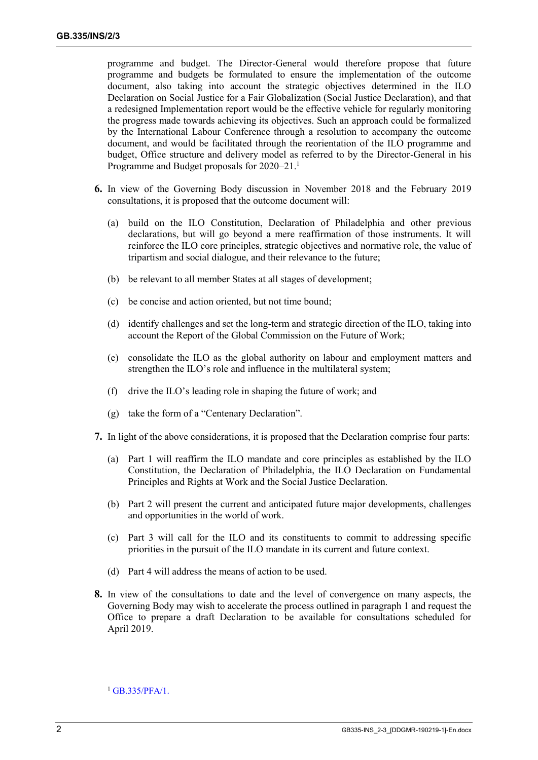programme and budget. The Director-General would therefore propose that future programme and budgets be formulated to ensure the implementation of the outcome document, also taking into account the strategic objectives determined in the ILO Declaration on Social Justice for a Fair Globalization (Social Justice Declaration), and that a redesigned Implementation report would be the effective vehicle for regularly monitoring the progress made towards achieving its objectives. Such an approach could be formalized by the International Labour Conference through a resolution to accompany the outcome document, and would be facilitated through the reorientation of the ILO programme and budget, Office structure and delivery model as referred to by the Director-General in his Programme and Budget proposals for 2020–21.<sup>1</sup>

- **6.** In view of the Governing Body discussion in November 2018 and the February 2019 consultations, it is proposed that the outcome document will:
	- (a) build on the ILO Constitution, Declaration of Philadelphia and other previous declarations, but will go beyond a mere reaffirmation of those instruments. It will reinforce the ILO core principles, strategic objectives and normative role, the value of tripartism and social dialogue, and their relevance to the future;
	- (b) be relevant to all member States at all stages of development;
	- (c) be concise and action oriented, but not time bound;
	- (d) identify challenges and set the long-term and strategic direction of the ILO, taking into account the Report of the Global Commission on the Future of Work;
	- (e) consolidate the ILO as the global authority on labour and employment matters and strengthen the ILO's role and influence in the multilateral system;
	- (f) drive the ILO's leading role in shaping the future of work; and
	- (g) take the form of a "Centenary Declaration".
- **7.** In light of the above considerations, it is proposed that the Declaration comprise four parts:
	- (a) Part 1 will reaffirm the ILO mandate and core principles as established by the ILO Constitution, the Declaration of Philadelphia, the ILO Declaration on Fundamental Principles and Rights at Work and the Social Justice Declaration.
	- (b) Part 2 will present the current and anticipated future major developments, challenges and opportunities in the world of work.
	- (c) Part 3 will call for the ILO and its constituents to commit to addressing specific priorities in the pursuit of the ILO mandate in its current and future context.
	- (d) Part 4 will address the means of action to be used.
- **8.** In view of the consultations to date and the level of convergence on many aspects, the Governing Body may wish to accelerate the process outlined in paragraph 1 and request the Office to prepare a draft Declaration to be available for consultations scheduled for April 2019.

<sup>&</sup>lt;sup>1</sup> [GB.335/PFA/1.](https://www.ilo.org/wcmsp5/groups/public/---ed_norm/---relconf/documents/meetingdocument/wcms_668573.pdf)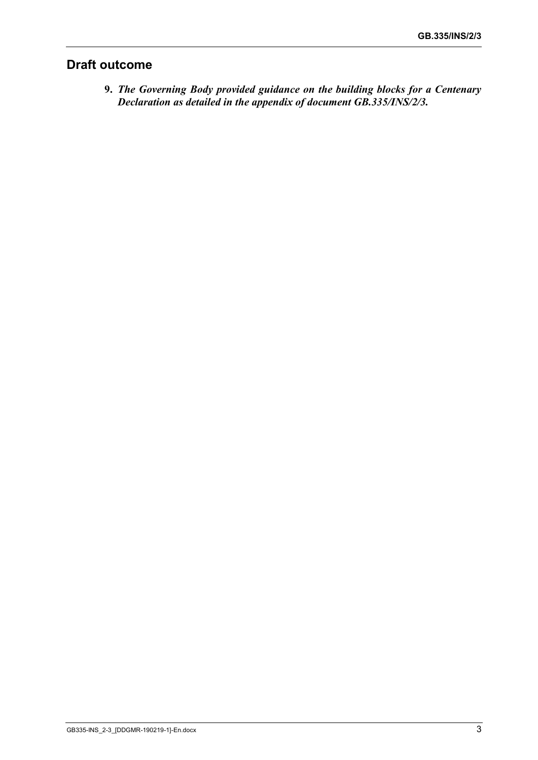### **Draft outcome**

**9.** *The Governing Body provided guidance on the building blocks for a Centenary Declaration as detailed in the appendix of document GB.335/INS/2/3.*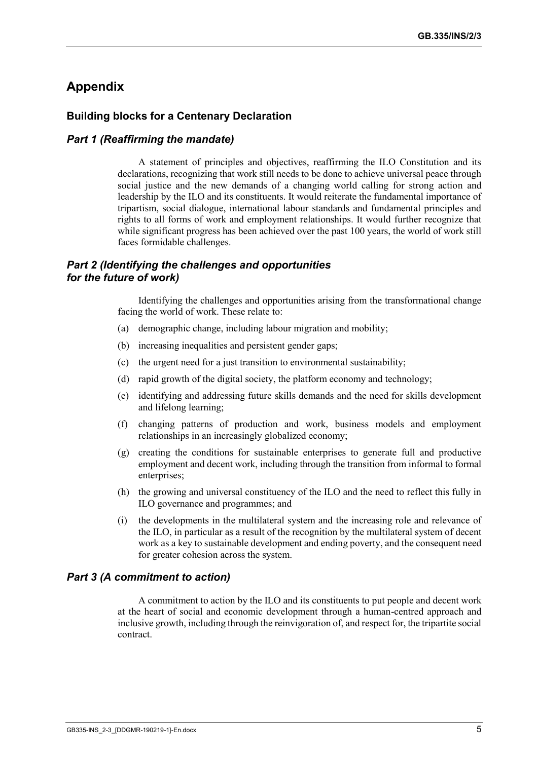### **Appendix**

### **Building blocks for a Centenary Declaration**

#### *Part 1 (Reaffirming the mandate)*

A statement of principles and objectives, reaffirming the ILO Constitution and its declarations, recognizing that work still needs to be done to achieve universal peace through social justice and the new demands of a changing world calling for strong action and leadership by the ILO and its constituents. It would reiterate the fundamental importance of tripartism, social dialogue, international labour standards and fundamental principles and rights to all forms of work and employment relationships. It would further recognize that while significant progress has been achieved over the past 100 years, the world of work still faces formidable challenges.

### *Part 2 (Identifying the challenges and opportunities for the future of work)*

Identifying the challenges and opportunities arising from the transformational change facing the world of work. These relate to:

- (a) demographic change, including labour migration and mobility;
- (b) increasing inequalities and persistent gender gaps;
- (c) the urgent need for a just transition to environmental sustainability;
- (d) rapid growth of the digital society, the platform economy and technology;
- (e) identifying and addressing future skills demands and the need for skills development and lifelong learning;
- (f) changing patterns of production and work, business models and employment relationships in an increasingly globalized economy;
- (g) creating the conditions for sustainable enterprises to generate full and productive employment and decent work, including through the transition from informal to formal enterprises;
- (h) the growing and universal constituency of the ILO and the need to reflect this fully in ILO governance and programmes; and
- (i) the developments in the multilateral system and the increasing role and relevance of the ILO, in particular as a result of the recognition by the multilateral system of decent work as a key to sustainable development and ending poverty, and the consequent need for greater cohesion across the system.

#### *Part 3 (A commitment to action)*

A commitment to action by the ILO and its constituents to put people and decent work at the heart of social and economic development through a human-centred approach and inclusive growth, including through the reinvigoration of, and respect for, the tripartite social contract.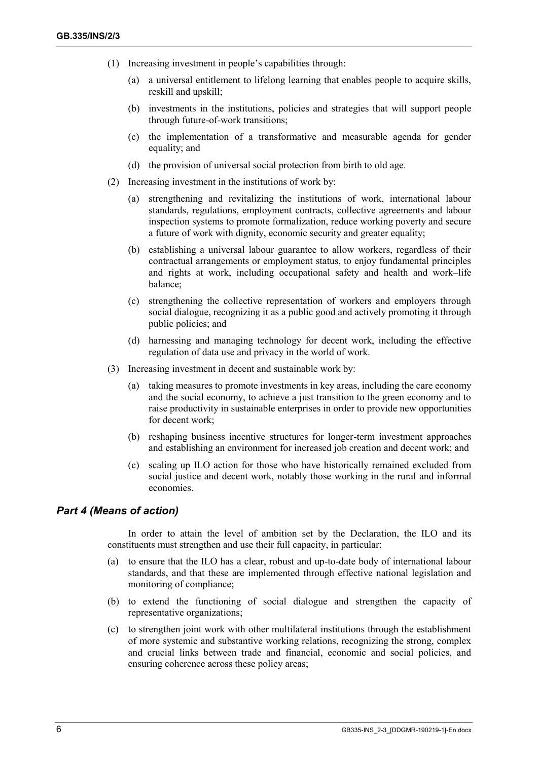- (1) Increasing investment in people's capabilities through:
	- (a) a universal entitlement to lifelong learning that enables people to acquire skills, reskill and upskill;
	- (b) investments in the institutions, policies and strategies that will support people through future-of-work transitions;
	- (c) the implementation of a transformative and measurable agenda for gender equality; and
	- (d) the provision of universal social protection from birth to old age.
- (2) Increasing investment in the institutions of work by:
	- (a) strengthening and revitalizing the institutions of work, international labour standards, regulations, employment contracts, collective agreements and labour inspection systems to promote formalization, reduce working poverty and secure a future of work with dignity, economic security and greater equality;
	- (b) establishing a universal labour guarantee to allow workers, regardless of their contractual arrangements or employment status, to enjoy fundamental principles and rights at work, including occupational safety and health and work–life balance;
	- (c) strengthening the collective representation of workers and employers through social dialogue, recognizing it as a public good and actively promoting it through public policies; and
	- (d) harnessing and managing technology for decent work, including the effective regulation of data use and privacy in the world of work.
- (3) Increasing investment in decent and sustainable work by:
	- (a) taking measures to promote investments in key areas, including the care economy and the social economy, to achieve a just transition to the green economy and to raise productivity in sustainable enterprises in order to provide new opportunities for decent work;
	- (b) reshaping business incentive structures for longer-term investment approaches and establishing an environment for increased job creation and decent work; and
	- (c) scaling up ILO action for those who have historically remained excluded from social justice and decent work, notably those working in the rural and informal economies.

#### *Part 4 (Means of action)*

In order to attain the level of ambition set by the Declaration, the ILO and its constituents must strengthen and use their full capacity, in particular:

- (a) to ensure that the ILO has a clear, robust and up-to-date body of international labour standards, and that these are implemented through effective national legislation and monitoring of compliance;
- (b) to extend the functioning of social dialogue and strengthen the capacity of representative organizations;
- (c) to strengthen joint work with other multilateral institutions through the establishment of more systemic and substantive working relations, recognizing the strong, complex and crucial links between trade and financial, economic and social policies, and ensuring coherence across these policy areas;